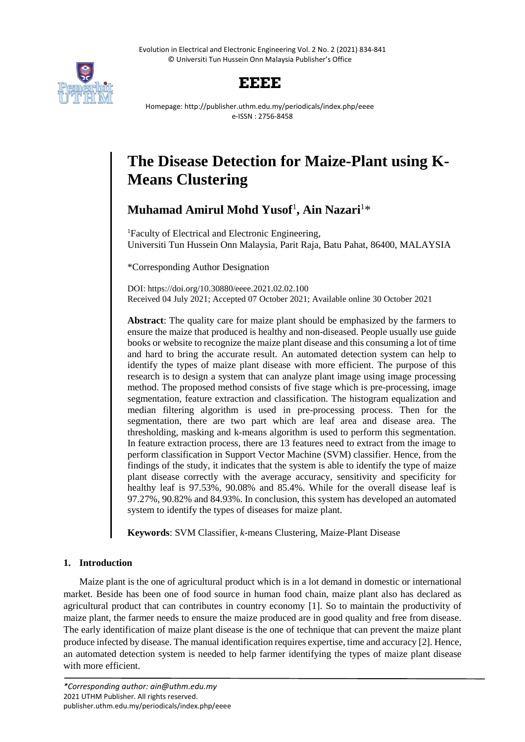Evolution in Electrical and Electronic Engineering Vol. 2 No. 2 (2021) 834-841 © Universiti Tun Hussein Onn Malaysia Publisher's Office



# **EEEE**

Homepage: http://publisher.uthm.edu.my/periodicals/index.php/eeee e-ISSN : 2756-8458

# **The Disease Detection for Maize-Plant using K-Means Clustering**

# **Muhamad Amirul Mohd Yusof**<sup>1</sup> **, Ain Nazari**<sup>1</sup>\*

<sup>1</sup>Faculty of Electrical and Electronic Engineering, Universiti Tun Hussein Onn Malaysia, Parit Raja, Batu Pahat, 86400, MALAYSIA

\*Corresponding Author Designation

DOI: https://doi.org/10.30880/eeee.2021.02.02.100 Received 04 July 2021; Accepted 07 October 2021; Available online 30 October 2021

**Abstract**: The quality care for maize plant should be emphasized by the farmers to ensure the maize that produced is healthy and non-diseased. People usually use guide books or website to recognize the maize plant disease and this consuming a lot of time and hard to bring the accurate result. An automated detection system can help to identify the types of maize plant disease with more efficient. The purpose of this research is to design a system that can analyze plant image using image processing method. The proposed method consists of five stage which is pre-processing, image segmentation, feature extraction and classification. The histogram equalization and median filtering algorithm is used in pre-processing process. Then for the segmentation, there are two part which are leaf area and disease area. The thresholding, masking and k-means algorithm is used to perform this segmentation. In feature extraction process, there are 13 features need to extract from the image to perform classification in Support Vector Machine (SVM) classifier. Hence, from the findings of the study, it indicates that the system is able to identify the type of maize plant disease correctly with the average accuracy, sensitivity and specificity for healthy leaf is 97.53%, 90.08% and 85.4%. While for the overall disease leaf is 97.27%, 90.82% and 84.93%. In conclusion, this system has developed an automated system to identify the types of diseases for maize plant.

**Keywords**: SVM Classifier, *k*-means Clustering, Maize-Plant Disease

# **1. Introduction**

Maize plant is the one of agricultural product which is in a lot demand in domestic or international market. Beside has been one of food source in human food chain, maize plant also has declared as agricultural product that can contributes in country economy [1]. So to maintain the productivity of maize plant, the farmer needs to ensure the maize produced are in good quality and free from disease. The early identification of maize plant disease is the one of technique that can prevent the maize plant produce infected by disease. The manual identification requires expertise, time and accuracy [2]. Hence, an automated detection system is needed to help farmer identifying the types of maize plant disease with more efficient.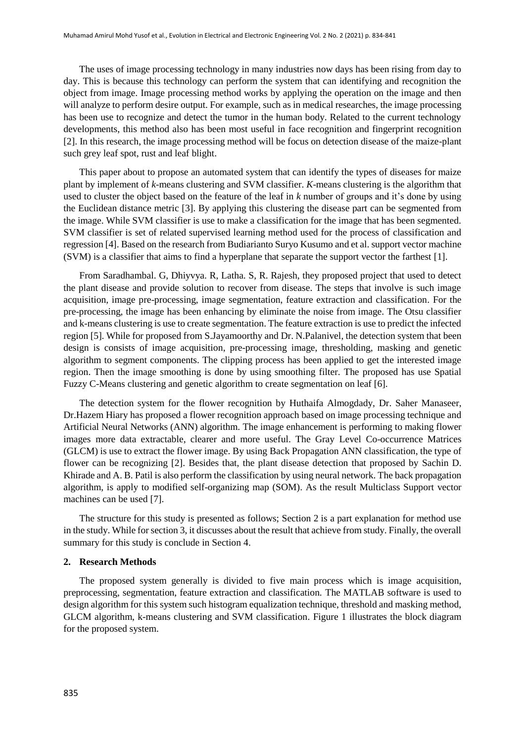The uses of image processing technology in many industries now days has been rising from day to day. This is because this technology can perform the system that can identifying and recognition the object from image. Image processing method works by applying the operation on the image and then will analyze to perform desire output. For example, such as in medical researches, the image processing has been use to recognize and detect the tumor in the human body. Related to the current technology developments, this method also has been most useful in face recognition and fingerprint recognition [2]. In this research, the image processing method will be focus on detection disease of the maize-plant such grey leaf spot, rust and leaf blight.

This paper about to propose an automated system that can identify the types of diseases for maize plant by implement of *k*-means clustering and SVM classifier. *K*-means clustering is the algorithm that used to cluster the object based on the feature of the leaf in *k* number of groups and it's done by using the Euclidean distance metric [3]. By applying this clustering the disease part can be segmented from the image. While SVM classifier is use to make a classification for the image that has been segmented. SVM classifier is set of related supervised learning method used for the process of classification and regression [4]. Based on the research from Budiarianto Suryo Kusumo and et al. support vector machine (SVM) is a classifier that aims to find a hyperplane that separate the support vector the farthest [1].

From Saradhambal. G, Dhiyvya. R, Latha. S, R. Rajesh, they proposed project that used to detect the plant disease and provide solution to recover from disease. The steps that involve is such image acquisition, image pre-processing, image segmentation, feature extraction and classification. For the pre-processing, the image has been enhancing by eliminate the noise from image. The Otsu classifier and k-means clustering is use to create segmentation. The feature extraction is use to predict the infected region [5]. While for proposed from S.Jayamoorthy and Dr. N.Palanivel, the detection system that been design is consists of image acquisition, pre-processing image, thresholding, masking and genetic algorithm to segment components. The clipping process has been applied to get the interested image region. Then the image smoothing is done by using smoothing filter. The proposed has use Spatial Fuzzy C-Means clustering and genetic algorithm to create segmentation on leaf [6].

The detection system for the flower recognition by Huthaifa Almogdady, Dr. Saher Manaseer, Dr.Hazem Hiary has proposed a flower recognition approach based on image processing technique and Artificial Neural Networks (ANN) algorithm. The image enhancement is performing to making flower images more data extractable, clearer and more useful. The Gray Level Co-occurrence Matrices (GLCM) is use to extract the flower image. By using Back Propagation ANN classification, the type of flower can be recognizing [2]. Besides that, the plant disease detection that proposed by Sachin D. Khirade and A. B. Patil is also perform the classification by using neural network. The back propagation algorithm, is apply to modified self-organizing map (SOM). As the result Multiclass Support vector machines can be used [7].

The structure for this study is presented as follows; Section 2 is a part explanation for method use in the study. While for section 3, it discusses about the result that achieve from study. Finally, the overall summary for this study is conclude in Section 4.

### **2. Research Methods**

The proposed system generally is divided to five main process which is image acquisition, preprocessing, segmentation, feature extraction and classification. The MATLAB software is used to design algorithm for this system such histogram equalization technique, threshold and masking method, GLCM algorithm, k-means clustering and SVM classification. [Figure 1](#page-2-0) illustrates the block diagram for the proposed system.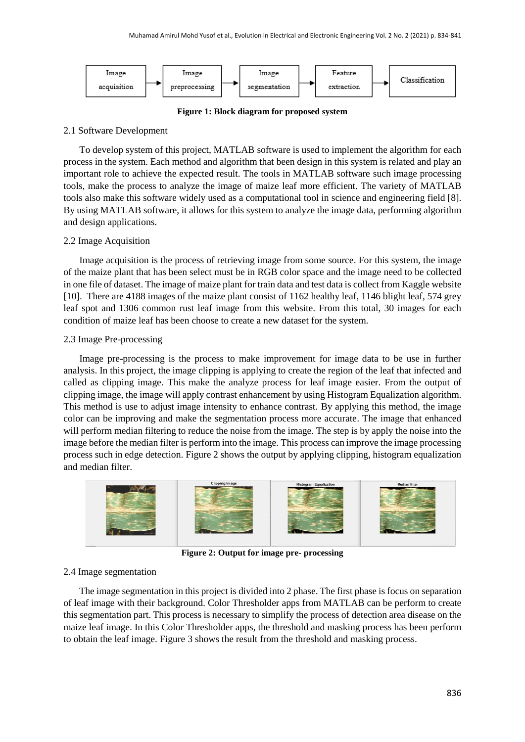

**Figure 1: Block diagram for proposed system**

## <span id="page-2-0"></span>2.1 Software Development

To develop system of this project, MATLAB software is used to implement the algorithm for each process in the system. Each method and algorithm that been design in this system is related and play an important role to achieve the expected result. The tools in MATLAB software such image processing tools, make the process to analyze the image of maize leaf more efficient. The variety of MATLAB tools also make this software widely used as a computational tool in science and engineering field [8]. By using MATLAB software, it allows for this system to analyze the image data, performing algorithm and design applications.

## 2.2 Image Acquisition

Image acquisition is the process of retrieving image from some source. For this system, the image of the maize plant that has been select must be in RGB color space and the image need to be collected in one file of dataset. The image of maize plant for train data and test data is collect from Kaggle website [10]. There are 4188 images of the maize plant consist of 1162 healthy leaf, 1146 blight leaf, 574 grey leaf spot and 1306 common rust leaf image from this website. From this total, 30 images for each condition of maize leaf has been choose to create a new dataset for the system.

# 2.3 Image Pre-processing

Image pre-processing is the process to make improvement for image data to be use in further analysis. In this project, the image clipping is applying to create the region of the leaf that infected and called as clipping image. This make the analyze process for leaf image easier. From the output of clipping image, the image will apply contrast enhancement by using Histogram Equalization algorithm. This method is use to adjust image intensity to enhance contrast. By applying this method, the image color can be improving and make the segmentation process more accurate. The image that enhanced will perform median filtering to reduce the noise from the image. The step is by apply the noise into the image before the median filter is perform into the image. This process can improve the image processing process such in edge detection. Figure 2 shows the output by applying clipping, histogram equalization and median filter.



**Figure 2: Output for image pre- processing**

# 2.4 Image segmentation

The image segmentation in this project is divided into 2 phase. The first phase is focus on separation of leaf image with their background. Color Thresholder apps from MATLAB can be perform to create this segmentation part. This process is necessary to simplify the process of detection area disease on the maize leaf image. In this Color Thresholder apps, the threshold and masking process has been perform to obtain the leaf image. Figure 3 shows the result from the threshold and masking process.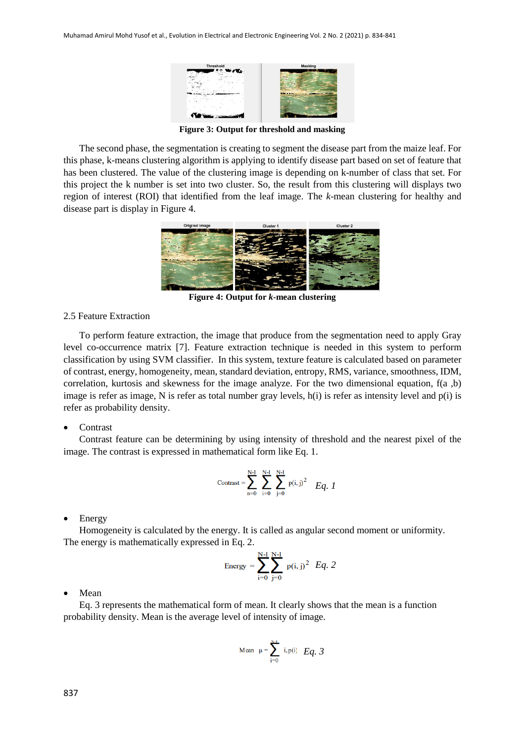

**Figure 3: Output for threshold and masking**

The second phase, the segmentation is creating to segment the disease part from the maize leaf. For this phase, k-means clustering algorithm is applying to identify disease part based on set of feature that has been clustered. The value of the clustering image is depending on k-number of class that set. For this project the k number is set into two cluster. So, the result from this clustering will displays two region of interest (ROI) that identified from the leaf image. The *k*-mean clustering for healthy and disease part is display in Figure 4.



**Figure 4: Output for** *k***-mean clustering**

#### 2.5 Feature Extraction

To perform feature extraction, the image that produce from the segmentation need to apply Gray level co-occurrence matrix [7]. Feature extraction technique is needed in this system to perform classification by using SVM classifier. In this system, texture feature is calculated based on parameter of contrast, energy, homogeneity, mean, standard deviation, entropy, RMS, variance, smoothness, IDM, correlation, kurtosis and skewness for the image analyze. For the two dimensional equation,  $f(a, b)$ image is refer as image, N is refer as total number gray levels, h(i) is refer as intensity level and p(i) is refer as probability density.

#### **Contrast**

Contrast feature can be determining by using intensity of threshold and the nearest pixel of the image. The contrast is expressed in mathematical form like Eq. 1.

$$
\text{Contrast} = \sum_{n=0}^{N-1} \sum_{i=0}^{N-1} \sum_{j=0}^{N-1} p(i, j)^2 Eq. \quad I
$$

Energy

Homogeneity is calculated by the energy. It is called as angular second moment or uniformity. The energy is mathematically expressed in Eq. 2.

Energy = 
$$
\sum_{i=0}^{N-1} \sum_{j=0}^{N-1} p(i, j)^2 Eq. 2
$$

Mean

Eq. 3 represents the mathematical form of mean. It clearly shows that the mean is a function probability density. Mean is the average level of intensity of image.

Mean 
$$
\mu = \sum_{i=0}^{N-1} i, p(i) \quad Eq. 3
$$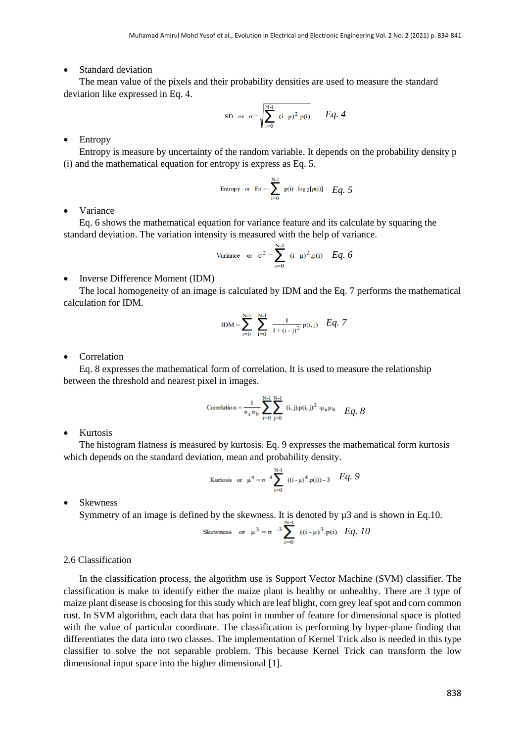Standard deviation

The mean value of the pixels and their probability densities are used to measure the standard deviation like expressed in Eq. 4.

SD or 
$$
\sigma = \sqrt{\sum_{i=0}^{N-1} (i - \mu)^2 p(i)}
$$
 Eq. 4

Entropy

Entropy is measure by uncertainty of the random variable. It depends on the probability density p (i) and the mathematical equation for entropy is express as Eq. 5.

Entropy or En = 
$$
\sum_{i=0}^{N-1} p(i) \log_2[p(i)]
$$
 Eq. 5

Variance

Eq. 6 shows the mathematical equation for variance feature and its calculate by squaring the standard deviation. The variation intensity is measured with the help of variance.

Variance or 
$$
\sigma^2 = \sum_{i=0}^{N-1} (i - \mu)^2 p(i)
$$
 Eq. 6

Inverse Difference Moment (IDM)

The local homogeneity of an image is calculated by IDM and the Eq. 7 performs the mathematical calculation for IDM.

$$
IDM = \sum_{i=0}^{N-1} \sum_{i=0}^{N-1} \frac{1}{1 + (i - j)^2} p(i, j) \quad Eq. 7
$$

Correlation

Eq. 8 expresses the mathematical form of correlation. It is used to measure the relationship between the threshold and nearest pixel in images.

$$
\text{Correlation} = \frac{1}{\sigma_a \sigma_b} \sum_{i=0}^{N-1} \sum_{j=0}^{N-1} (i, j) \cdot p(i, j)^2 + \mu_a \mu_b \quad Eq. 8
$$

• Kurtosis

The histogram flatness is measured by kurtosis. Eq. 9 expresses the mathematical form kurtosis which depends on the standard deviation, mean and probability density.

Kurtosis or 
$$
\mu^4 = \sigma^4 \sum_{i=0}^{N-1} ((i - \mu)^4 p(i)) - 3
$$
 Eq. 9

• Skewness

Symmetry of an image is defined by the skewness. It is denoted by  $\mu$ 3 and is shown in Eq.10.

Skewness or 
$$
\mu^3 = \sigma^{-3} \sum_{i=0}^{3} ((i - \mu)^3 \cdot p(i)) Eq
$$
, 10

# 2.6 Classification

In the classification process, the algorithm use is Support Vector Machine (SVM) classifier. The classification is make to identify either the maize plant is healthy or unhealthy. There are 3 type of maize plant disease is choosing for this study which are leaf blight, corn grey leaf spot and corn common rust. In SVM algorithm, each data that has point in number of feature for dimensional space is plotted with the value of particular coordinate. The classification is performing by hyper-plane finding that differentiates the data into two classes. The implementation of Kernel Trick also is needed in this type classifier to solve the not separable problem. This because Kernel Trick can transform the low dimensional input space into the higher dimensional [1].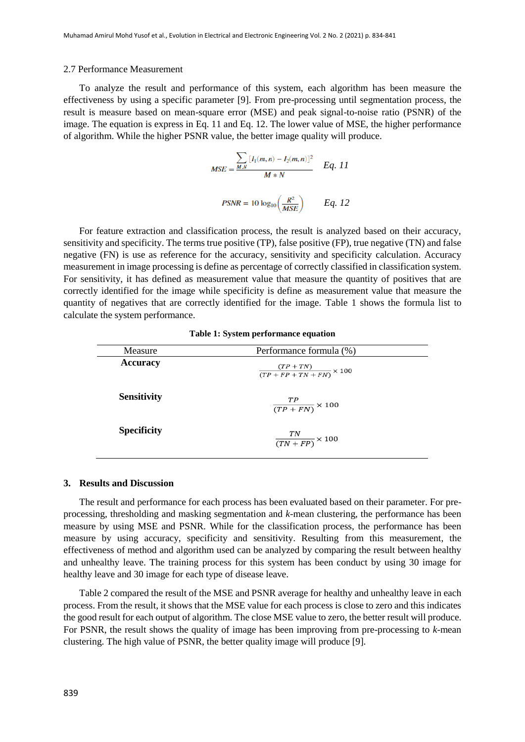#### 2.7 Performance Measurement

To analyze the result and performance of this system, each algorithm has been measure the effectiveness by using a specific parameter [9]. From pre-processing until segmentation process, the result is measure based on mean-square error (MSE) and peak signal-to-noise ratio (PSNR) of the image. The equation is express in Eq. 11 and Eq. 12. The lower value of MSE, the higher performance of algorithm. While the higher PSNR value, the better image quality will produce.

$$
MSE = \frac{\sum_{M,N} [I_1(m,n) - I_2(m,n)]^2}{M*N} \qquad Eq. 11
$$
  
PSNR = 10 log<sub>10</sub>  $\left(\frac{R^2}{MSE}\right)$   $Eq. 12$ 

For feature extraction and classification process, the result is analyzed based on their accuracy, sensitivity and specificity. The terms true positive (TP), false positive (FP), true negative (TN) and false negative (FN) is use as reference for the accuracy, sensitivity and specificity calculation. Accuracy measurement in image processing is define as percentage of correctly classified in classification system. For sensitivity, it has defined as measurement value that measure the quantity of positives that are correctly identified for the image while specificity is define as measurement value that measure the quantity of negatives that are correctly identified for the image. Table 1 shows the formula list to calculate the system performance.

| Measure            | Performance formula (%)                            |
|--------------------|----------------------------------------------------|
| <b>Accuracy</b>    | $\frac{(TP + TN)}{(TP + FP + TN + FN)} \times 100$ |
| <b>Sensitivity</b> | $\frac{TP}{(TP + FN)} \times 100$                  |
| <b>Specificity</b> | $\frac{TN}{(TN + FP)} \times 100$                  |

#### **Table 1: System performance equation**

#### **3. Results and Discussion**

The result and performance for each process has been evaluated based on their parameter. For preprocessing, thresholding and masking segmentation and *k*-mean clustering, the performance has been measure by using MSE and PSNR. While for the classification process, the performance has been measure by using accuracy, specificity and sensitivity. Resulting from this measurement, the effectiveness of method and algorithm used can be analyzed by comparing the result between healthy and unhealthy leave. The training process for this system has been conduct by using 30 image for healthy leave and 30 image for each type of disease leave.

Table 2 compared the result of the MSE and PSNR average for healthy and unhealthy leave in each process. From the result, it shows that the MSE value for each process is close to zero and this indicates the good result for each output of algorithm. The close MSE value to zero, the better result will produce. For PSNR, the result shows the quality of image has been improving from pre-processing to *k*-mean clustering. The high value of PSNR, the better quality image will produce [9].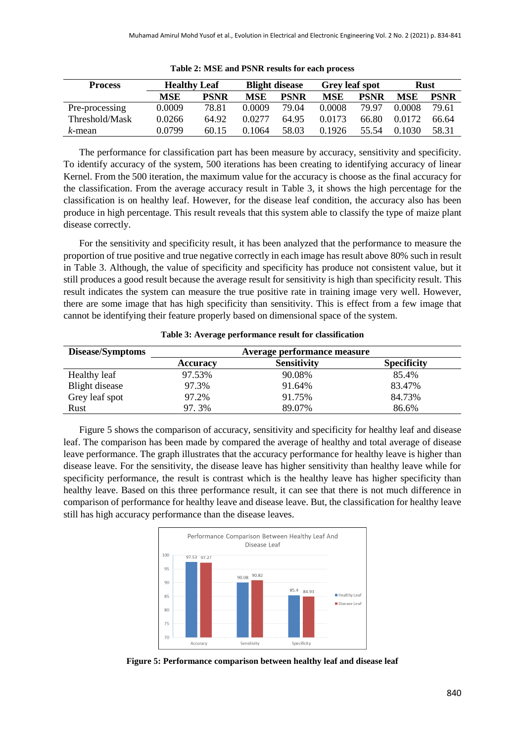| <b>Process</b> | <b>Healthy Leaf</b> |             | <b>Blight disease</b> |             | <b>Grey leaf spot</b> |             | <b>Rust</b> |             |
|----------------|---------------------|-------------|-----------------------|-------------|-----------------------|-------------|-------------|-------------|
|                | MSE                 | <b>PSNR</b> | <b>MSE</b>            | <b>PSNR</b> | <b>MSE</b>            | <b>PSNR</b> | MSE         | <b>PSNR</b> |
| Pre-processing | 0.0009              | 78.81       | 0.0009                | 79.04       | 0.0008                | 79 97       | 0.0008      | 79.61       |
| Threshold/Mask | 0.0266              | 64.92       | 0.0277                | 64.95       | 0.0173                | 66.80       | 0.0172      | 66.64       |
| k-mean         | 0.0799              | 60.15       | 0.1064                | 58.03       | 0.1926                | 55 54       | 0.1030      | 58.31       |

**Table 2: MSE and PSNR results for each process**

The performance for classification part has been measure by accuracy, sensitivity and specificity. To identify accuracy of the system, 500 iterations has been creating to identifying accuracy of linear Kernel. From the 500 iteration, the maximum value for the accuracy is choose as the final accuracy for the classification. From the average accuracy result in Table 3, it shows the high percentage for the classification is on healthy leaf. However, for the disease leaf condition, the accuracy also has been produce in high percentage. This result reveals that this system able to classify the type of maize plant disease correctly.

For the sensitivity and specificity result, it has been analyzed that the performance to measure the proportion of true positive and true negative correctly in each image has result above 80% such in result in Table 3. Although, the value of specificity and specificity has produce not consistent value, but it still produces a good result because the average result for sensitivity is high than specificity result. This result indicates the system can measure the true positive rate in training image very well. However, there are some image that has high specificity than sensitivity. This is effect from a few image that cannot be identifying their feature properly based on dimensional space of the system.

| Disease/Symptoms | Average performance measure |                    |                    |  |  |  |
|------------------|-----------------------------|--------------------|--------------------|--|--|--|
|                  | <b>Accuracy</b>             | <b>Sensitivity</b> | <b>Specificity</b> |  |  |  |
| Healthy leaf     | 97.53%                      | 90.08%             | 85.4%              |  |  |  |
| Blight disease   | 97.3%                       | 91.64%             | 83.47%             |  |  |  |
| Grey leaf spot   | 97.2%                       | 91.75%             | 84.73%             |  |  |  |
| Rust             | 97.3%                       | 89.07%             | 86.6%              |  |  |  |

**Table 3: Average performance result for classification**

Figure 5 shows the comparison of accuracy, sensitivity and specificity for healthy leaf and disease leaf. The comparison has been made by compared the average of healthy and total average of disease leave performance. The graph illustrates that the accuracy performance for healthy leave is higher than disease leave. For the sensitivity, the disease leave has higher sensitivity than healthy leave while for specificity performance, the result is contrast which is the healthy leave has higher specificity than healthy leave. Based on this three performance result, it can see that there is not much difference in comparison of performance for healthy leave and disease leave. But, the classification for healthy leave still has high accuracy performance than the disease leaves.



**Figure 5: Performance comparison between healthy leaf and disease leaf**